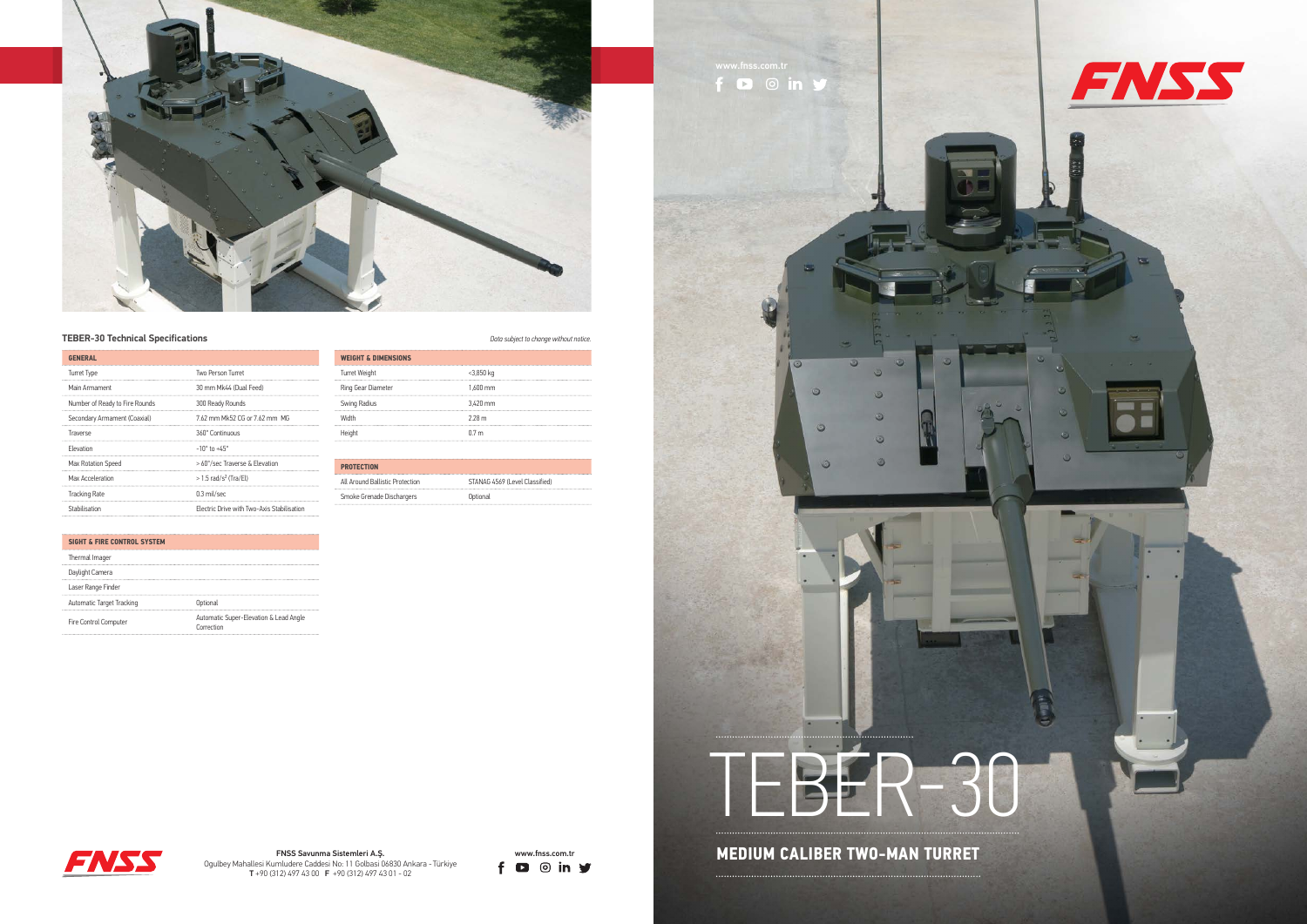

## **TEBER-30 Technical Specifications** *Data* subject to change with notice *Data* subject to change with  $D$ ange with  $D$ ange with  $D$ ange with  $D$ ange with  $D$ ange with  $D$ ange with  $D$ ange with  $D$ ange with  $D$ ange with  $D$



www.fnss.com.tr





Ogulbey Mahallesi Kumludere Caddesi No: 11 Golbasi 06830 Ankara - Türkiye T +90 (312) 497 43 00 F +90 (312) 497 43 01 - 02

| <b>GENERAL</b>                 |                                            |
|--------------------------------|--------------------------------------------|
| <b>Turret Type</b>             | Two Person Turret                          |
| Main Armament                  | 30 mm Mk44 (Dual Feed)                     |
| Number of Ready to Fire Rounds | 300 Ready Rounds                           |
| Secondary Armament (Coaxial)   | 7.62 mm Mk52 CG or 7.62 mm MG              |
| Traverse                       | 360° Continuous                            |
| Flevation                      | $-10^{\circ}$ to $+45^{\circ}$             |
| Max Rotation Speed             | > 60°/sec Traverse & Elevation             |
| Max Acceleration               | $>1.5$ rad/s <sup>2</sup> (Tra/El)         |
| <b>Tracking Rate</b>           | $0.3$ mil/sec                              |
| Stabilisation                  | Electric Drive with Two-Axis Stabilisation |
|                                |                                            |

| Thermal Imager            |                                                      |
|---------------------------|------------------------------------------------------|
| Daylight Camera           |                                                      |
| Laser Range Finder        |                                                      |
| Automatic Target Tracking | Optional                                             |
| Fire Control Computer     | Automatic Super-Elevation & Lead Angle<br>Correction |

| <b>WEIGHT &amp; DIMENSIONS</b> |                  |
|--------------------------------|------------------|
| Turret Weight                  | $<$ 3,850 kg     |
|                                |                  |
| Ring Gear Diameter             | $1.600$ mm       |
| Swing Radius                   | 3.420 mm         |
|                                |                  |
| <b>Width</b>                   | 228m             |
|                                |                  |
| Height                         | 0.7 <sub>m</sub> |

| <b>PROTECTION</b>               |                                |
|---------------------------------|--------------------------------|
| All Around Ballistic Protection | STANAG 4569 (Level Classified) |
| Smoke Grenade Dischargers       | Optional                       |

## **SIGHT & FIRE CONTROL SYSTEM**